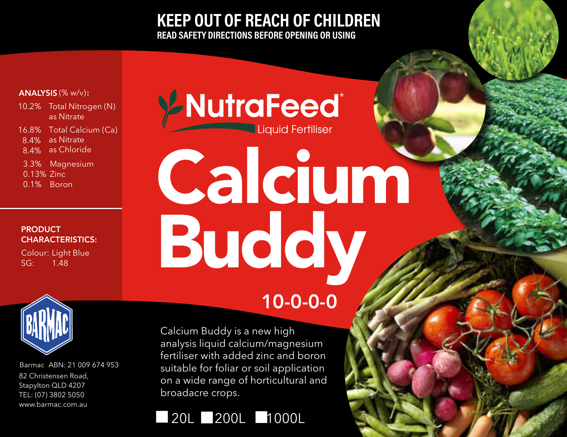**KEEP OUT OF REACH OF CHILDREN** READ SAFETY DIRECTIONS BEFORE OPENING OR USING

## ANALYSIS (% w/v):

- 10.2% Total Nitrogen (N) as Nitrate 16.8% Total Calcium (Ca)
- 8.4% as Nitrate
- 8.4% as Chloride
- 3.3% Magnesium 0.13% Zinc 0.1% Boron

## **PRODUCT** CHARACTERISTICS:

Colour: Light Blue SG: 1.48



Barmac ABN: 21 009 674 953 82 Christensen Road, Stapylton QLD 4207 TEL: (07) 3802 5050 www.barmac.com.au

## Y-NutraFeed® Calcium Buddy 10-0-0-0

Calcium Buddy is a new high analysis liquid calcium/magnesium fertiliser with added zinc and boron suitable for foliar or soil application on a wide range of horticultural and broadacre crops.